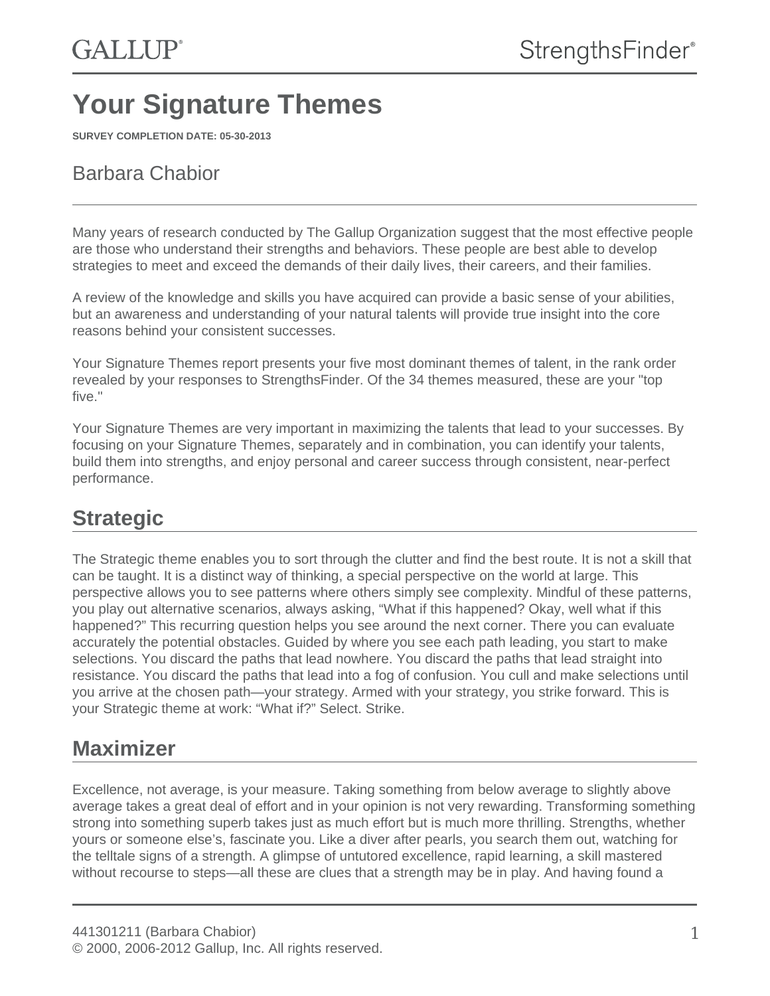# **Your Signature Themes**

**SURVEY COMPLETION DATE: 05-30-2013**

#### Barbara Chabior

Many years of research conducted by The Gallup Organization suggest that the most effective people are those who understand their strengths and behaviors. These people are best able to develop strategies to meet and exceed the demands of their daily lives, their careers, and their families.

A review of the knowledge and skills you have acquired can provide a basic sense of your abilities, but an awareness and understanding of your natural talents will provide true insight into the core reasons behind your consistent successes.

Your Signature Themes report presents your five most dominant themes of talent, in the rank order revealed by your responses to StrengthsFinder. Of the 34 themes measured, these are your "top five."

Your Signature Themes are very important in maximizing the talents that lead to your successes. By focusing on your Signature Themes, separately and in combination, you can identify your talents, build them into strengths, and enjoy personal and career success through consistent, near-perfect performance.

## **Strategic**

The Strategic theme enables you to sort through the clutter and find the best route. It is not a skill that can be taught. It is a distinct way of thinking, a special perspective on the world at large. This perspective allows you to see patterns where others simply see complexity. Mindful of these patterns, you play out alternative scenarios, always asking, "What if this happened? Okay, well what if this happened?" This recurring question helps you see around the next corner. There you can evaluate accurately the potential obstacles. Guided by where you see each path leading, you start to make selections. You discard the paths that lead nowhere. You discard the paths that lead straight into resistance. You discard the paths that lead into a fog of confusion. You cull and make selections until you arrive at the chosen path—your strategy. Armed with your strategy, you strike forward. This is your Strategic theme at work: "What if?" Select. Strike.

#### **Maximizer**

Excellence, not average, is your measure. Taking something from below average to slightly above average takes a great deal of effort and in your opinion is not very rewarding. Transforming something strong into something superb takes just as much effort but is much more thrilling. Strengths, whether yours or someone else's, fascinate you. Like a diver after pearls, you search them out, watching for the telltale signs of a strength. A glimpse of untutored excellence, rapid learning, a skill mastered without recourse to steps—all these are clues that a strength may be in play. And having found a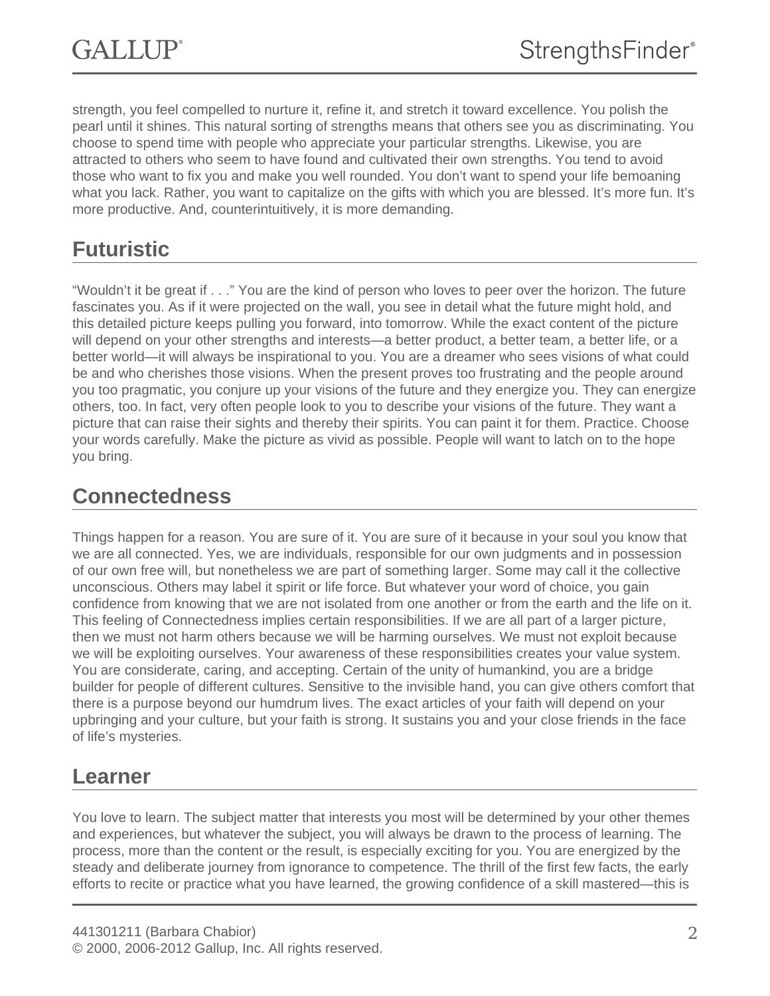strength, you feel compelled to nurture it, refine it, and stretch it toward excellence. You polish the pearl until it shines. This natural sorting of strengths means that others see you as discriminating. You choose to spend time with people who appreciate your particular strengths. Likewise, you are attracted to others who seem to have found and cultivated their own strengths. You tend to avoid those who want to fix you and make you well rounded. You don't want to spend your life bemoaning what you lack. Rather, you want to capitalize on the gifts with which you are blessed. It's more fun. It's more productive. And, counterintuitively, it is more demanding.

# **Futuristic**

"Wouldn't it be great if . . ." You are the kind of person who loves to peer over the horizon. The future fascinates you. As if it were projected on the wall, you see in detail what the future might hold, and this detailed picture keeps pulling you forward, into tomorrow. While the exact content of the picture will depend on your other strengths and interests—a better product, a better team, a better life, or a better world—it will always be inspirational to you. You are a dreamer who sees visions of what could be and who cherishes those visions. When the present proves too frustrating and the people around you too pragmatic, you conjure up your visions of the future and they energize you. They can energize others, too. In fact, very often people look to you to describe your visions of the future. They want a picture that can raise their sights and thereby their spirits. You can paint it for them. Practice. Choose your words carefully. Make the picture as vivid as possible. People will want to latch on to the hope you bring.

#### **Connectedness**

Things happen for a reason. You are sure of it. You are sure of it because in your soul you know that we are all connected. Yes, we are individuals, responsible for our own judgments and in possession of our own free will, but nonetheless we are part of something larger. Some may call it the collective unconscious. Others may label it spirit or life force. But whatever your word of choice, you gain confidence from knowing that we are not isolated from one another or from the earth and the life on it. This feeling of Connectedness implies certain responsibilities. If we are all part of a larger picture, then we must not harm others because we will be harming ourselves. We must not exploit because we will be exploiting ourselves. Your awareness of these responsibilities creates your value system. You are considerate, caring, and accepting. Certain of the unity of humankind, you are a bridge builder for people of different cultures. Sensitive to the invisible hand, you can give others comfort that there is a purpose beyond our humdrum lives. The exact articles of your faith will depend on your upbringing and your culture, but your faith is strong. It sustains you and your close friends in the face of life's mysteries.

## **Learner**

You love to learn. The subject matter that interests you most will be determined by your other themes and experiences, but whatever the subject, you will always be drawn to the process of learning. The process, more than the content or the result, is especially exciting for you. You are energized by the steady and deliberate journey from ignorance to competence. The thrill of the first few facts, the early efforts to recite or practice what you have learned, the growing confidence of a skill mastered—this is